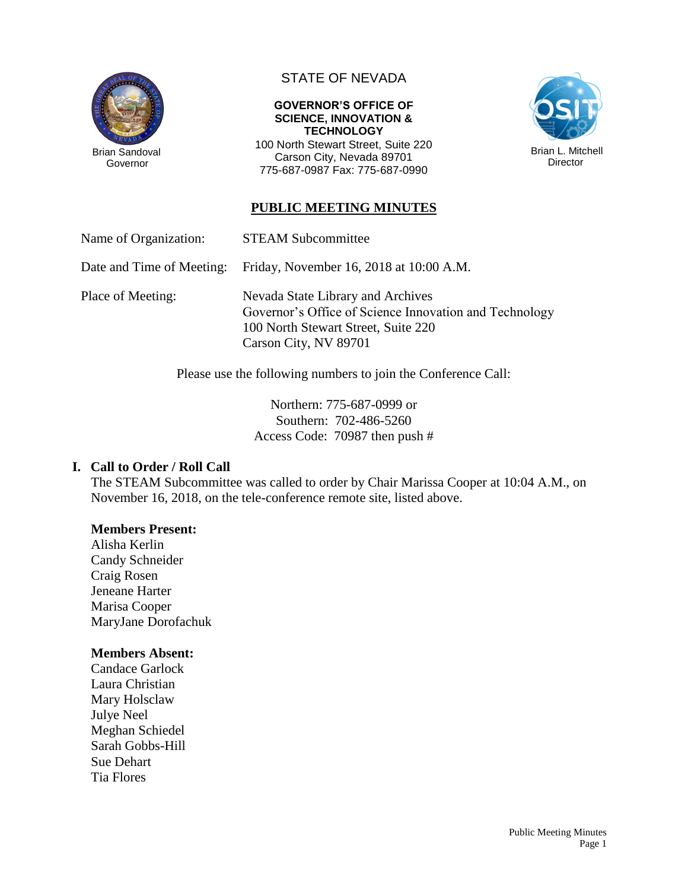

Governor

# STATE OF NEVADA

#### **GOVERNOR'S OFFICE OF SCIENCE, INNOVATION & TECHNOLOGY**

100 North Stewart Street, Suite 220 Carson City, Nevada 89701 775-687-0987 Fax: 775-687-0990



### **PUBLIC MEETING MINUTES**

Name of Organization: STEAM Subcommittee

Date and Time of Meeting: Friday, November 16, 2018 at 10:00 A.M.

Place of Meeting: Nevada State Library and Archives Governor's Office of Science Innovation and Technology 100 North Stewart Street, Suite 220 Carson City, NV 89701

Please use the following numbers to join the Conference Call:

Northern: 775-687-0999 or Southern: 702-486-5260 Access Code: 70987 then push #

#### **I. Call to Order / Roll Call**

The STEAM Subcommittee was called to order by Chair Marissa Cooper at 10:04 A.M., on November 16, 2018, on the tele-conference remote site, listed above.

#### **Members Present:**

Alisha Kerlin Candy Schneider Craig Rosen Jeneane Harter Marisa Cooper MaryJane Dorofachuk

#### **Members Absent:**

Candace Garlock Laura Christian Mary Holsclaw Julye Neel Meghan Schiedel Sarah Gobbs-Hill Sue Dehart Tia Flores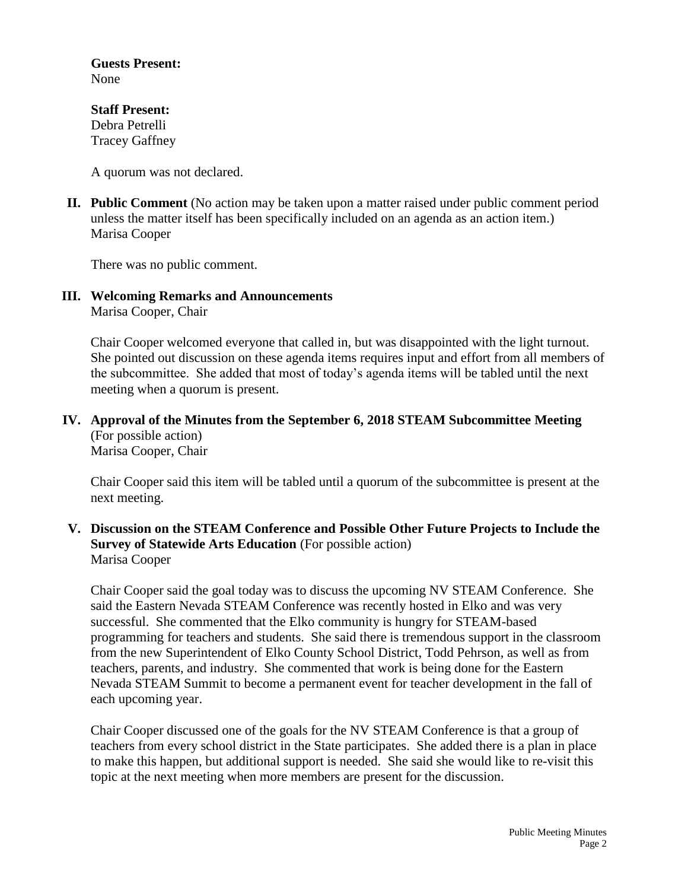**Guests Present:** None

**Staff Present:** Debra Petrelli Tracey Gaffney

A quorum was not declared.

**II. Public Comment** (No action may be taken upon a matter raised under public comment period unless the matter itself has been specifically included on an agenda as an action item.) Marisa Cooper

There was no public comment.

**III. Welcoming Remarks and Announcements** Marisa Cooper, Chair

> Chair Cooper welcomed everyone that called in, but was disappointed with the light turnout. She pointed out discussion on these agenda items requires input and effort from all members of the subcommittee. She added that most of today's agenda items will be tabled until the next meeting when a quorum is present.

#### **IV. Approval of the Minutes from the September 6, 2018 STEAM Subcommittee Meeting** (For possible action) Marisa Cooper, Chair

Chair Cooper said this item will be tabled until a quorum of the subcommittee is present at the next meeting.

### **V. Discussion on the STEAM Conference and Possible Other Future Projects to Include the Survey of Statewide Arts Education** (For possible action) Marisa Cooper

Chair Cooper said the goal today was to discuss the upcoming NV STEAM Conference. She said the Eastern Nevada STEAM Conference was recently hosted in Elko and was very successful. She commented that the Elko community is hungry for STEAM-based programming for teachers and students. She said there is tremendous support in the classroom from the new Superintendent of Elko County School District, Todd Pehrson, as well as from teachers, parents, and industry. She commented that work is being done for the Eastern Nevada STEAM Summit to become a permanent event for teacher development in the fall of each upcoming year.

Chair Cooper discussed one of the goals for the NV STEAM Conference is that a group of teachers from every school district in the State participates. She added there is a plan in place to make this happen, but additional support is needed. She said she would like to re-visit this topic at the next meeting when more members are present for the discussion.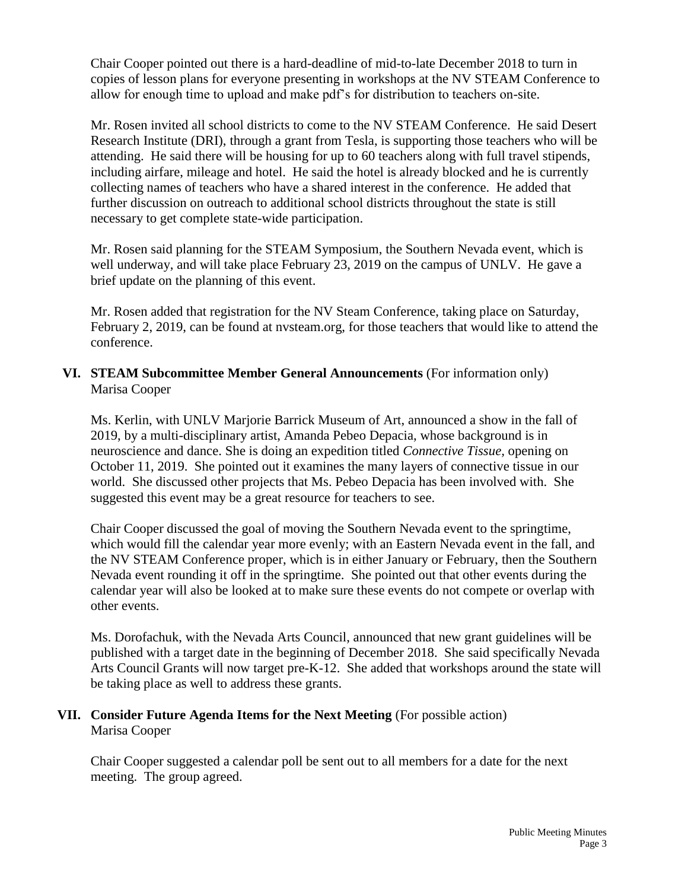Chair Cooper pointed out there is a hard-deadline of mid-to-late December 2018 to turn in copies of lesson plans for everyone presenting in workshops at the NV STEAM Conference to allow for enough time to upload and make pdf's for distribution to teachers on-site.

Mr. Rosen invited all school districts to come to the NV STEAM Conference. He said Desert Research Institute (DRI), through a grant from Tesla, is supporting those teachers who will be attending. He said there will be housing for up to 60 teachers along with full travel stipends, including airfare, mileage and hotel. He said the hotel is already blocked and he is currently collecting names of teachers who have a shared interest in the conference. He added that further discussion on outreach to additional school districts throughout the state is still necessary to get complete state-wide participation.

Mr. Rosen said planning for the STEAM Symposium, the Southern Nevada event, which is well underway, and will take place February 23, 2019 on the campus of UNLV. He gave a brief update on the planning of this event.

Mr. Rosen added that registration for the NV Steam Conference, taking place on Saturday, February 2, 2019, can be found at nvsteam.org, for those teachers that would like to attend the conference.

### **VI. STEAM Subcommittee Member General Announcements** (For information only) Marisa Cooper

Ms. Kerlin, with UNLV Marjorie Barrick Museum of Art, announced a show in the fall of 2019, by a multi-disciplinary artist, Amanda Pebeo Depacia, whose background is in neuroscience and dance. She is doing an expedition titled *Connective Tissue,* opening on October 11, 2019. She pointed out it examines the many layers of connective tissue in our world. She discussed other projects that Ms. Pebeo Depacia has been involved with. She suggested this event may be a great resource for teachers to see.

Chair Cooper discussed the goal of moving the Southern Nevada event to the springtime, which would fill the calendar year more evenly; with an Eastern Nevada event in the fall, and the NV STEAM Conference proper, which is in either January or February, then the Southern Nevada event rounding it off in the springtime. She pointed out that other events during the calendar year will also be looked at to make sure these events do not compete or overlap with other events.

Ms. Dorofachuk, with the Nevada Arts Council, announced that new grant guidelines will be published with a target date in the beginning of December 2018. She said specifically Nevada Arts Council Grants will now target pre-K-12. She added that workshops around the state will be taking place as well to address these grants.

### **VII. Consider Future Agenda Items for the Next Meeting** (For possible action) Marisa Cooper

Chair Cooper suggested a calendar poll be sent out to all members for a date for the next meeting. The group agreed.